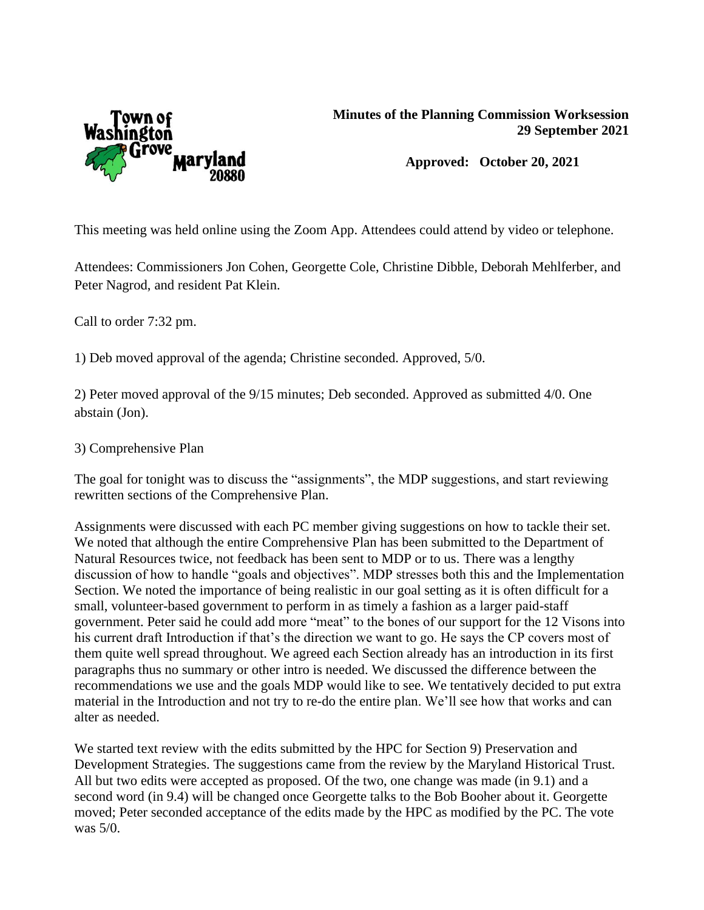

**Approved: October 20, 2021**

This meeting was held online using the Zoom App. Attendees could attend by video or telephone.

Attendees: Commissioners Jon Cohen, Georgette Cole, Christine Dibble, Deborah Mehlferber, and Peter Nagrod, and resident Pat Klein.

Call to order 7:32 pm.

1) Deb moved approval of the agenda; Christine seconded. Approved, 5/0.

2) Peter moved approval of the 9/15 minutes; Deb seconded. Approved as submitted 4/0. One abstain (Jon).

3) Comprehensive Plan

The goal for tonight was to discuss the "assignments", the MDP suggestions, and start reviewing rewritten sections of the Comprehensive Plan.

Assignments were discussed with each PC member giving suggestions on how to tackle their set. We noted that although the entire Comprehensive Plan has been submitted to the Department of Natural Resources twice, not feedback has been sent to MDP or to us. There was a lengthy discussion of how to handle "goals and objectives". MDP stresses both this and the Implementation Section. We noted the importance of being realistic in our goal setting as it is often difficult for a small, volunteer-based government to perform in as timely a fashion as a larger paid-staff government. Peter said he could add more "meat" to the bones of our support for the 12 Visons into his current draft Introduction if that's the direction we want to go. He says the CP covers most of them quite well spread throughout. We agreed each Section already has an introduction in its first paragraphs thus no summary or other intro is needed. We discussed the difference between the recommendations we use and the goals MDP would like to see. We tentatively decided to put extra material in the Introduction and not try to re-do the entire plan. We'll see how that works and can alter as needed.

We started text review with the edits submitted by the HPC for Section 9) Preservation and Development Strategies. The suggestions came from the review by the Maryland Historical Trust. All but two edits were accepted as proposed. Of the two, one change was made (in 9.1) and a second word (in 9.4) will be changed once Georgette talks to the Bob Booher about it. Georgette moved; Peter seconded acceptance of the edits made by the HPC as modified by the PC. The vote was 5/0.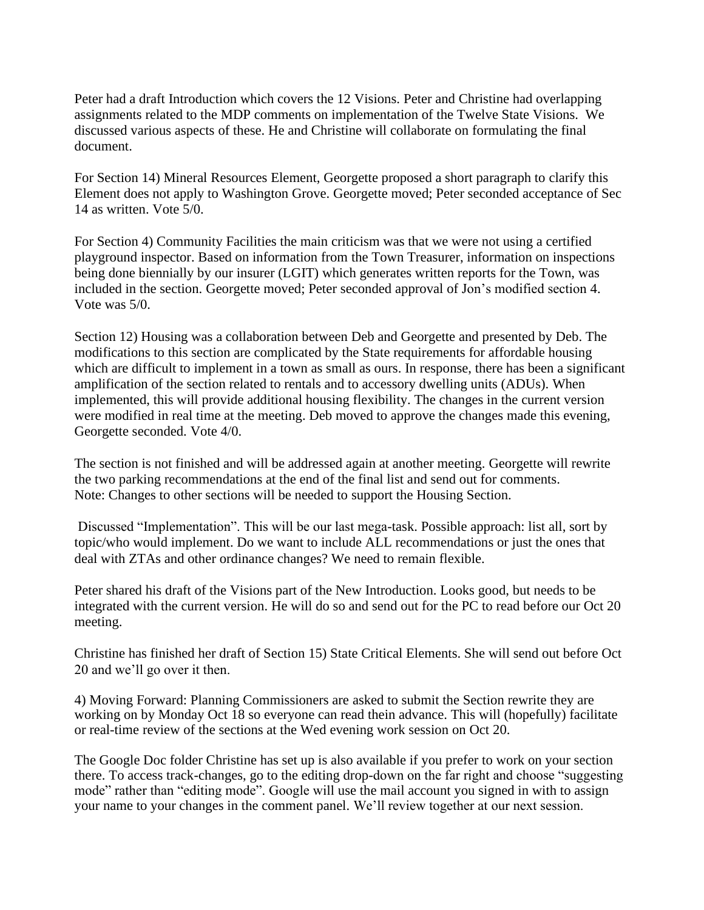Peter had a draft Introduction which covers the 12 Visions. Peter and Christine had overlapping assignments related to the MDP comments on implementation of the Twelve State Visions. We discussed various aspects of these. He and Christine will collaborate on formulating the final document.

For Section 14) Mineral Resources Element, Georgette proposed a short paragraph to clarify this Element does not apply to Washington Grove. Georgette moved; Peter seconded acceptance of Sec 14 as written. Vote 5/0.

For Section 4) Community Facilities the main criticism was that we were not using a certified playground inspector. Based on information from the Town Treasurer, information on inspections being done biennially by our insurer (LGIT) which generates written reports for the Town, was included in the section. Georgette moved; Peter seconded approval of Jon's modified section 4. Vote was 5/0.

Section 12) Housing was a collaboration between Deb and Georgette and presented by Deb. The modifications to this section are complicated by the State requirements for affordable housing which are difficult to implement in a town as small as ours. In response, there has been a significant amplification of the section related to rentals and to accessory dwelling units (ADUs). When implemented, this will provide additional housing flexibility. The changes in the current version were modified in real time at the meeting. Deb moved to approve the changes made this evening, Georgette seconded. Vote 4/0.

The section is not finished and will be addressed again at another meeting. Georgette will rewrite the two parking recommendations at the end of the final list and send out for comments. Note: Changes to other sections will be needed to support the Housing Section.

Discussed "Implementation". This will be our last mega-task. Possible approach: list all, sort by topic/who would implement. Do we want to include ALL recommendations or just the ones that deal with ZTAs and other ordinance changes? We need to remain flexible.

Peter shared his draft of the Visions part of the New Introduction. Looks good, but needs to be integrated with the current version. He will do so and send out for the PC to read before our Oct 20 meeting.

Christine has finished her draft of Section 15) State Critical Elements. She will send out before Oct 20 and we'll go over it then.

4) Moving Forward: Planning Commissioners are asked to submit the Section rewrite they are working on by Monday Oct 18 so everyone can read thein advance. This will (hopefully) facilitate or real-time review of the sections at the Wed evening work session on Oct 20.

The Google Doc folder Christine has set up is also available if you prefer to work on your section there. To access track-changes, go to the editing drop-down on the far right and choose "suggesting mode" rather than "editing mode". Google will use the mail account you signed in with to assign your name to your changes in the comment panel. We'll review together at our next session.